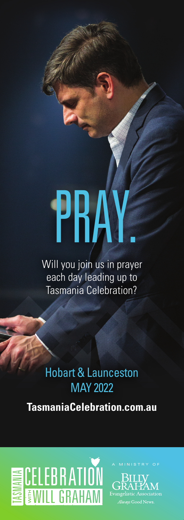# PRA

Will you join us in prayer each day leading up to Tasmania Celebration?

Hobart & Launceston MAY 2022

**TasmaniaCelebration.com.au**

**ESCELEBRATION**